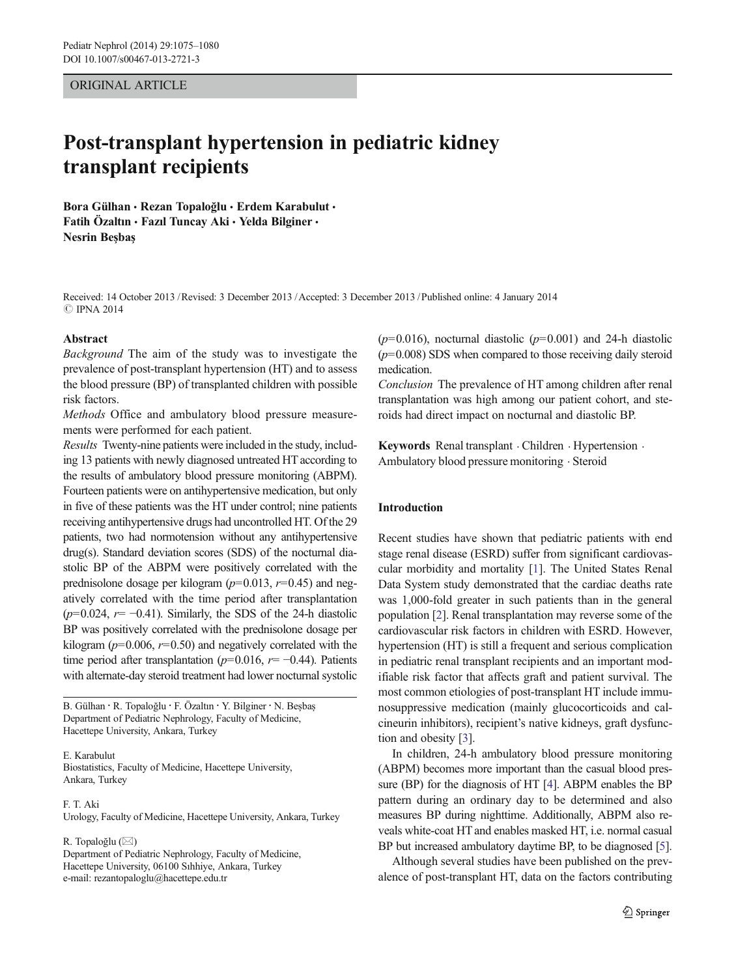## ORIGINAL ARTICLE

# Post-transplant hypertension in pediatric kidney transplant recipients

Bora Gülhan • Rezan Topaloğlu • Erdem Karabulut • Fatih Özaltın · Fazıl Tuncay Aki · Yelda Bilginer · Nesrin Beşbaş

Received: 14 October 2013 /Revised: 3 December 2013 /Accepted: 3 December 2013 /Published online: 4 January 2014 **C IPNA 2014** 

#### Abstract

Background The aim of the study was to investigate the prevalence of post-transplant hypertension (HT) and to assess the blood pressure (BP) of transplanted children with possible risk factors.

Methods Office and ambulatory blood pressure measurements were performed for each patient.

Results Twenty-nine patients were included in the study, including 13 patients with newly diagnosed untreated HT according to the results of ambulatory blood pressure monitoring (ABPM). Fourteen patients were on antihypertensive medication, but only in five of these patients was the HT under control; nine patients receiving antihypertensive drugs had uncontrolled HT. Of the 29 patients, two had normotension without any antihypertensive drug(s). Standard deviation scores (SDS) of the nocturnal diastolic BP of the ABPM were positively correlated with the prednisolone dosage per kilogram ( $p=0.013$ ,  $r=0.45$ ) and negatively correlated with the time period after transplantation  $(p=0.024, r=-0.41)$ . Similarly, the SDS of the 24-h diastolic BP was positively correlated with the prednisolone dosage per kilogram ( $p=0.006$ ,  $r=0.50$ ) and negatively correlated with the time period after transplantation ( $p=0.016$ ,  $r=-0.44$ ). Patients with alternate-day steroid treatment had lower nocturnal systolic

B. Gülhan : R. Topaloğlu : F. Özaltı<sup>n</sup> : Y. Bilginer : N. Beşba<sup>ş</sup> Department of Pediatric Nephrology, Faculty of Medicine, Hacettepe University, Ankara, Turkey

E. Karabulut

Biostatistics, Faculty of Medicine, Hacettepe University, Ankara, Turkey

F. T. Aki Urology, Faculty of Medicine, Hacettepe University, Ankara, Turkey

R. Topaloğlu (⊠)

Department of Pediatric Nephrology, Faculty of Medicine, Hacettepe University, 06100 Sıhhiye, Ankara, Turkey e-mail: rezantopaloglu@hacettepe.edu.tr

 $(p=0.016)$ , nocturnal diastolic  $(p=0.001)$  and 24-h diastolic  $(p=0.008)$  SDS when compared to those receiving daily steroid medication.

Conclusion The prevalence of HT among children after renal transplantation was high among our patient cohort, and steroids had direct impact on nocturnal and diastolic BP.

Keywords Renal transplant . Children . Hypertension . Ambulatory blood pressure monitoring . Steroid

## Introduction

Recent studies have shown that pediatric patients with end stage renal disease (ESRD) suffer from significant cardiovascular morbidity and mortality [\[1](#page-5-0)]. The United States Renal Data System study demonstrated that the cardiac deaths rate was 1,000-fold greater in such patients than in the general population [\[2\]](#page-5-0). Renal transplantation may reverse some of the cardiovascular risk factors in children with ESRD. However, hypertension (HT) is still a frequent and serious complication in pediatric renal transplant recipients and an important modifiable risk factor that affects graft and patient survival. The most common etiologies of post-transplant HT include immunosuppressive medication (mainly glucocorticoids and calcineurin inhibitors), recipient's native kidneys, graft dysfunction and obesity [\[3](#page-5-0)].

In children, 24-h ambulatory blood pressure monitoring (ABPM) becomes more important than the casual blood pressure (BP) for the diagnosis of HT [[4\]](#page-5-0). ABPM enables the BP pattern during an ordinary day to be determined and also measures BP during nighttime. Additionally, ABPM also reveals white-coat HT and enables masked HT, i.e. normal casual BP but increased ambulatory daytime BP, to be diagnosed [\[5\]](#page-5-0).

Although several studies have been published on the prevalence of post-transplant HT, data on the factors contributing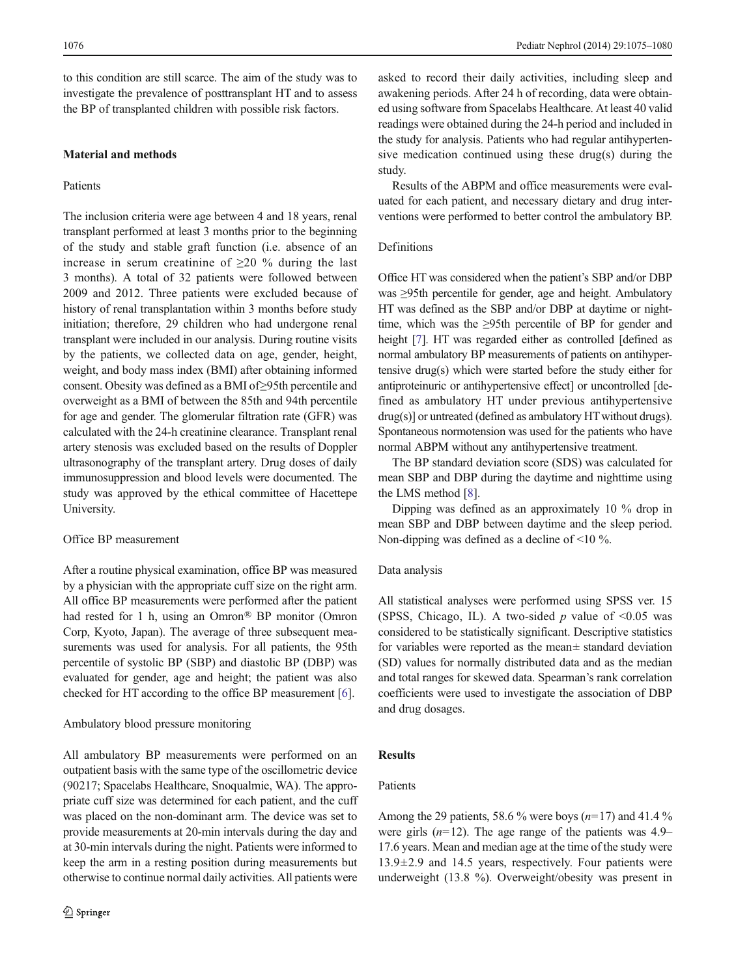to this condition are still scarce. The aim of the study was to investigate the prevalence of posttransplant HT and to assess the BP of transplanted children with possible risk factors.

# Material and methods

#### Patients

The inclusion criteria were age between 4 and 18 years, renal transplant performed at least 3 months prior to the beginning of the study and stable graft function (i.e. absence of an increase in serum creatinine of  $\geq 20$  % during the last 3 months). A total of 32 patients were followed between 2009 and 2012. Three patients were excluded because of history of renal transplantation within 3 months before study initiation; therefore, 29 children who had undergone renal transplant were included in our analysis. During routine visits by the patients, we collected data on age, gender, height, weight, and body mass index (BMI) after obtaining informed consent. Obesity was defined as a BMI of≥95th percentile and overweight as a BMI of between the 85th and 94th percentile for age and gender. The glomerular filtration rate (GFR) was calculated with the 24-h creatinine clearance. Transplant renal artery stenosis was excluded based on the results of Doppler ultrasonography of the transplant artery. Drug doses of daily immunosuppression and blood levels were documented. The study was approved by the ethical committee of Hacettepe University.

#### Office BP measurement

After a routine physical examination, office BP was measured by a physician with the appropriate cuff size on the right arm. All office BP measurements were performed after the patient had rested for 1 h, using an Omron® BP monitor (Omron Corp, Kyoto, Japan). The average of three subsequent measurements was used for analysis. For all patients, the 95th percentile of systolic BP (SBP) and diastolic BP (DBP) was evaluated for gender, age and height; the patient was also checked for HT according to the office BP measurement [[6\]](#page-5-0).

#### Ambulatory blood pressure monitoring

All ambulatory BP measurements were performed on an outpatient basis with the same type of the oscillometric device (90217; Spacelabs Healthcare, Snoqualmie, WA). The appropriate cuff size was determined for each patient, and the cuff was placed on the non-dominant arm. The device was set to provide measurements at 20-min intervals during the day and at 30-min intervals during the night. Patients were informed to keep the arm in a resting position during measurements but otherwise to continue normal daily activities. All patients were

asked to record their daily activities, including sleep and awakening periods. After 24 h of recording, data were obtained using software from Spacelabs Healthcare. At least 40 valid readings were obtained during the 24-h period and included in the study for analysis. Patients who had regular antihypertensive medication continued using these drug(s) during the study.

Results of the ABPM and office measurements were evaluated for each patient, and necessary dietary and drug interventions were performed to better control the ambulatory BP.

## Definitions

Office HT was considered when the patient's SBP and/or DBP was ≥95th percentile for gender, age and height. Ambulatory HT was defined as the SBP and/or DBP at daytime or nighttime, which was the ≥95th percentile of BP for gender and height [[7](#page-5-0)]. HT was regarded either as controlled [defined as normal ambulatory BP measurements of patients on antihypertensive drug(s) which were started before the study either for antiproteinuric or antihypertensive effect] or uncontrolled [defined as ambulatory HT under previous antihypertensive drug(s)] or untreated (defined as ambulatory HT without drugs). Spontaneous normotension was used for the patients who have normal ABPM without any antihypertensive treatment.

The BP standard deviation score (SDS) was calculated for mean SBP and DBP during the daytime and nighttime using the LMS method [\[8](#page-5-0)].

Dipping was defined as an approximately 10 % drop in mean SBP and DBP between daytime and the sleep period. Non-dipping was defined as a decline of <10 %.

#### Data analysis

All statistical analyses were performed using SPSS ver. 15 (SPSS, Chicago, IL). A two-sided  $p$  value of <0.05 was considered to be statistically significant. Descriptive statistics for variables were reported as the mean± standard deviation (SD) values for normally distributed data and as the median and total ranges for skewed data. Spearman's rank correlation coefficients were used to investigate the association of DBP and drug dosages.

#### Results

# Patients

Among the 29 patients, 58.6 % were boys  $(n=17)$  and 41.4 % were girls  $(n=12)$ . The age range of the patients was 4.9– 17.6 years. Mean and median age at the time of the study were  $13.9\pm2.9$  and 14.5 years, respectively. Four patients were underweight (13.8 %). Overweight/obesity was present in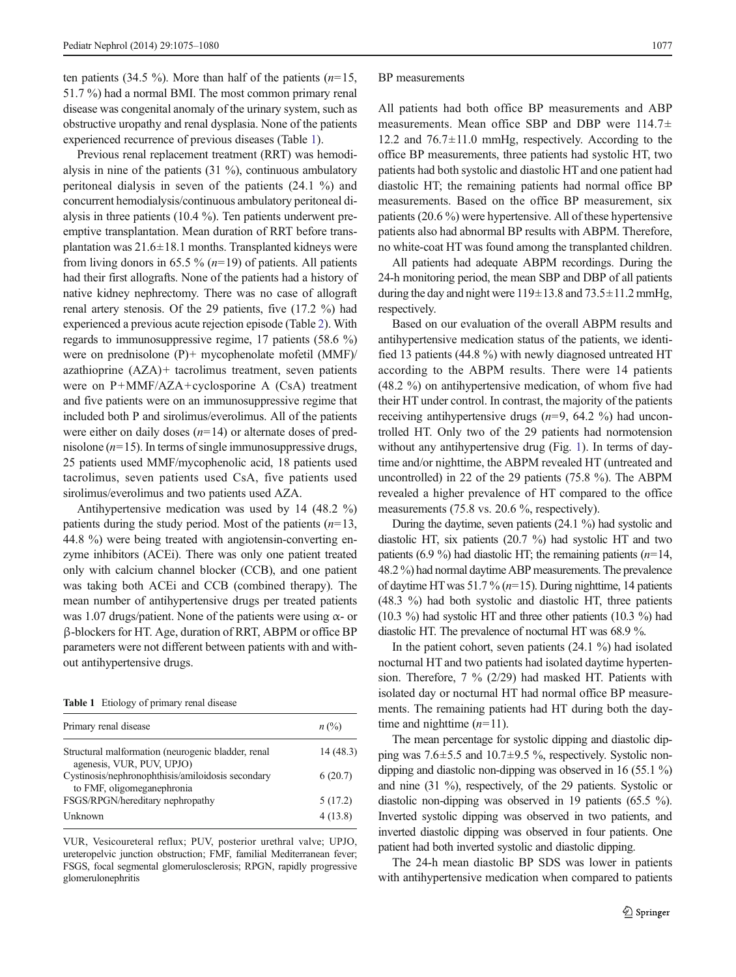ten patients (34.5 %). More than half of the patients  $(n=15, 10)$ 51.7 %) had a normal BMI. The most common primary renal disease was congenital anomaly of the urinary system, such as obstructive uropathy and renal dysplasia. None of the patients experienced recurrence of previous diseases (Table 1).

Previous renal replacement treatment (RRT) was hemodialysis in nine of the patients (31 %), continuous ambulatory peritoneal dialysis in seven of the patients (24.1 %) and concurrent hemodialysis/continuous ambulatory peritoneal dialysis in three patients (10.4 %). Ten patients underwent preemptive transplantation. Mean duration of RRT before transplantation was  $21.6 \pm 18.1$  months. Transplanted kidneys were from living donors in 65.5 %  $(n=19)$  of patients. All patients had their first allografts. None of the patients had a history of native kidney nephrectomy. There was no case of allograft renal artery stenosis. Of the 29 patients, five (17.2 %) had experienced a previous acute rejection episode (Table [2](#page-3-0)). With regards to immunosuppressive regime, 17 patients (58.6 %) were on prednisolone (P)+ mycophenolate mofetil (MMF)/ azathioprine (AZA)+ tacrolimus treatment, seven patients were on P+MMF/AZA+cyclosporine A (CsA) treatment and five patients were on an immunosuppressive regime that included both P and sirolimus/everolimus. All of the patients were either on daily doses  $(n=14)$  or alternate doses of prednisolone ( $n=15$ ). In terms of single immunosuppressive drugs, 25 patients used MMF/mycophenolic acid, 18 patients used tacrolimus, seven patients used CsA, five patients used sirolimus/everolimus and two patients used AZA.

Antihypertensive medication was used by 14 (48.2 %) patients during the study period. Most of the patients  $(n=13,$ 44.8 %) were being treated with angiotensin-converting enzyme inhibitors (ACEi). There was only one patient treated only with calcium channel blocker (CCB), and one patient was taking both ACEi and CCB (combined therapy). The mean number of antihypertensive drugs per treated patients was 1.07 drugs/patient. None of the patients were using  $\alpha$ - or β-blockers for HT. Age, duration of RRT, ABPM or office BP parameters were not different between patients with and without antihypertensive drugs.

Table 1 Etiology of primary renal disease

| Primary renal disease                                                           | $n\left(\frac{0}{0}\right)$ |
|---------------------------------------------------------------------------------|-----------------------------|
| Structural malformation (neurogenic bladder, renal<br>agenesis, VUR, PUV, UPJO) | 14(48.3)                    |
| Cystinosis/nephronophthisis/amiloidosis secondary<br>to FMF, oligomeganephronia | 6(20.7)                     |
| FSGS/RPGN/hereditary nephropathy                                                | 5(17.2)                     |
| Unknown                                                                         | 4(13.8)                     |

VUR, Vesicoureteral reflux; PUV, posterior urethral valve; UPJO, ureteropelvic junction obstruction; FMF, familial Mediterranean fever; FSGS, focal segmental glomerulosclerosis; RPGN, rapidly progressive glomerulonephritis

#### BP measurements

All patients had both office BP measurements and ABP measurements. Mean office SBP and DBP were 114.7± 12.2 and  $76.7 \pm 11.0$  mmHg, respectively. According to the office BP measurements, three patients had systolic HT, two patients had both systolic and diastolic HT and one patient had diastolic HT; the remaining patients had normal office BP measurements. Based on the office BP measurement, six patients (20.6 %) were hypertensive. All of these hypertensive patients also had abnormal BP results with ABPM. Therefore, no white-coat HT was found among the transplanted children.

All patients had adequate ABPM recordings. During the 24-h monitoring period, the mean SBP and DBP of all patients during the day and night were  $119\pm13.8$  and  $73.5\pm11.2$  mmHg, respectively.

Based on our evaluation of the overall ABPM results and antihypertensive medication status of the patients, we identified 13 patients (44.8 %) with newly diagnosed untreated HT according to the ABPM results. There were 14 patients (48.2 %) on antihypertensive medication, of whom five had their HT under control. In contrast, the majority of the patients receiving antihypertensive drugs  $(n=9, 64.2 \%)$  had uncontrolled HT. Only two of the 29 patients had normotension without any antihypertensive drug (Fig. [1\)](#page-3-0). In terms of daytime and/or nighttime, the ABPM revealed HT (untreated and uncontrolled) in 22 of the 29 patients (75.8 %). The ABPM revealed a higher prevalence of HT compared to the office measurements (75.8 vs. 20.6 %, respectively).

During the daytime, seven patients (24.1 %) had systolic and diastolic HT, six patients (20.7 %) had systolic HT and two patients (6.9 %) had diastolic HT; the remaining patients ( $n=14$ , 48.2 %) had normal daytime ABP measurements. The prevalence of daytime HT was 51.7 %  $(n=15)$ . During nighttime, 14 patients (48.3 %) had both systolic and diastolic HT, three patients (10.3 %) had systolic HT and three other patients (10.3 %) had diastolic HT. The prevalence of nocturnal HT was 68.9 %.

In the patient cohort, seven patients (24.1 %) had isolated nocturnal HT and two patients had isolated daytime hypertension. Therefore, 7 % (2/29) had masked HT. Patients with isolated day or nocturnal HT had normal office BP measurements. The remaining patients had HT during both the daytime and nighttime  $(n=11)$ .

The mean percentage for systolic dipping and diastolic dipping was  $7.6\pm5.5$  and  $10.7\pm9.5$  %, respectively. Systolic nondipping and diastolic non-dipping was observed in 16 (55.1 %) and nine (31 %), respectively, of the 29 patients. Systolic or diastolic non-dipping was observed in 19 patients (65.5 %). Inverted systolic dipping was observed in two patients, and inverted diastolic dipping was observed in four patients. One patient had both inverted systolic and diastolic dipping.

The 24-h mean diastolic BP SDS was lower in patients with antihypertensive medication when compared to patients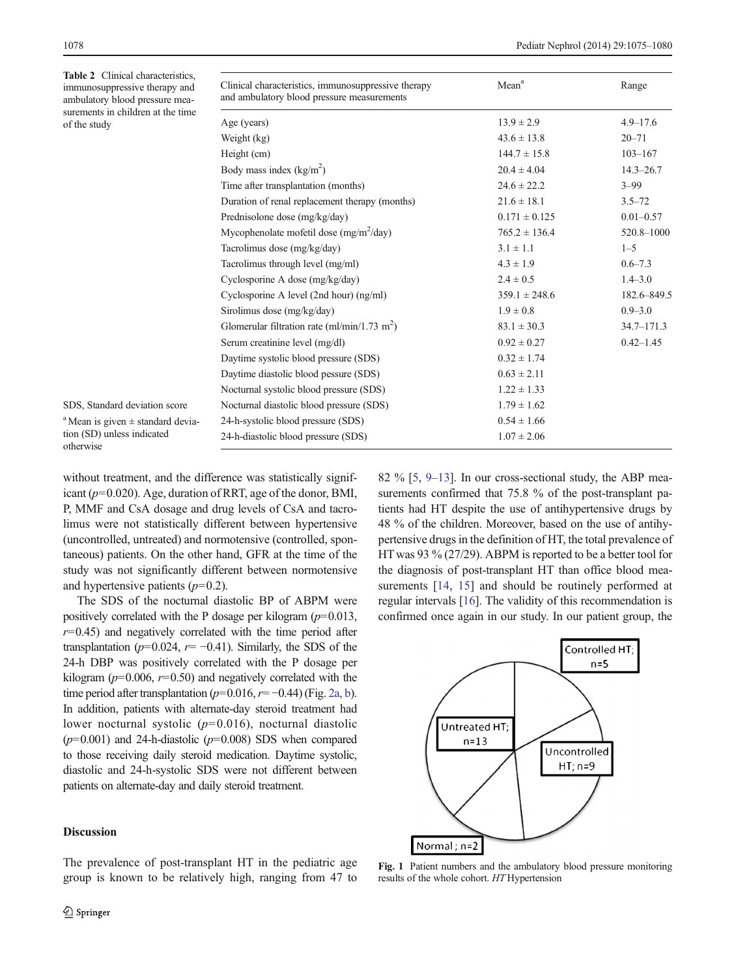<span id="page-3-0"></span>Table 2 Clinical characteristic immunosuppressive therapy an ambulatory blood pressure mea surements in children at the tin of the study

| Clinical characteristics, immunosuppressive therapy<br>and ambulatory blood pressure measurements | Mean <sup>a</sup> | Range          |
|---------------------------------------------------------------------------------------------------|-------------------|----------------|
| Age (years)                                                                                       | $13.9 \pm 2.9$    | $4.9 - 17.6$   |
| Weight (kg)                                                                                       | $43.6 \pm 13.8$   | $20 - 71$      |
| Height (cm)                                                                                       | $144.7 \pm 15.8$  | $103 - 167$    |
| Body mass index $(kg/m2)$                                                                         | $20.4 \pm 4.04$   | $14.3 - 26.7$  |
| Time after transplantation (months)                                                               | $24.6 \pm 22.2$   | $3 - 99$       |
| Duration of renal replacement therapy (months)                                                    | $21.6 \pm 18.1$   | $3.5 - 72$     |
| Prednisolone dose (mg/kg/day)                                                                     | $0.171 \pm 0.125$ | $0.01 - 0.57$  |
| Mycophenolate mofetil dose $(mg/m^2/day)$                                                         | $765.2 \pm 136.4$ | 520.8-1000     |
| Tacrolimus dose (mg/kg/day)                                                                       | $3.1 \pm 1.1$     | $1 - 5$        |
| Tacrolimus through level (mg/ml)                                                                  | $4.3 \pm 1.9$     | $0.6 - 7.3$    |
| Cyclosporine A dose (mg/kg/day)                                                                   | $2.4 \pm 0.5$     | $1.4 - 3.0$    |
| Cyclosporine A level $(2nd hour)$ $(ng/ml)$                                                       | $359.1 \pm 248.6$ | 182.6-849.5    |
| Sirolimus dose (mg/kg/day)                                                                        | $1.9 \pm 0.8$     | $0.9 - 3.0$    |
| Glomerular filtration rate (ml/min/1.73 m <sup>2</sup> )                                          | $83.1 \pm 30.3$   | $34.7 - 171.3$ |
| Serum creatinine level (mg/dl)                                                                    | $0.92 \pm 0.27$   | $0.42 - 1.45$  |
| Daytime systolic blood pressure (SDS)                                                             | $0.32 \pm 1.74$   |                |
| Daytime diastolic blood pessure (SDS)                                                             | $0.63 \pm 2.11$   |                |
| Nocturnal systolic blood pressure (SDS)                                                           | $1.22 \pm 1.33$   |                |
| Nocturnal diastolic blood pressure (SDS)                                                          | $1.79 \pm 1.62$   |                |
| 24-h-systolic blood pressure (SDS)                                                                | $0.54 \pm 1.66$   |                |
| 24-h-diastolic blood pressure (SDS)                                                               | $1.07 \pm 2.06$   |                |

a Mean is given ± standard deviation (SD) unless indicated otherwise

SDS, Standard deviation score

without treatment, and the difference was statistically significant ( $p=0.020$ ). Age, duration of RRT, age of the donor, BMI, P, MMF and CsA dosage and drug levels of CsA and tacrolimus were not statistically different between hypertensive (uncontrolled, untreated) and normotensive (controlled, spontaneous) patients. On the other hand, GFR at the time of the study was not significantly different between normotensive and hypertensive patients  $(p=0.2)$ .

The SDS of the nocturnal diastolic BP of ABPM were positively correlated with the P dosage per kilogram  $(p=0.013,$  $r=0.45$ ) and negatively correlated with the time period after transplantation ( $p=0.024$ ,  $r=-0.41$ ). Similarly, the SDS of the 24-h DBP was positively correlated with the P dosage per kilogram ( $p=0.006$ ,  $r=0.50$ ) and negatively correlated with the time period after transplantation ( $p=0.016$ ,  $r=-0.44$ ) (Fig. [2a, b\)](#page-4-0). In addition, patients with alternate-day steroid treatment had lower nocturnal systolic  $(p=0.016)$ , nocturnal diastolic  $(p=0.001)$  and 24-h-diastolic  $(p=0.008)$  SDS when compared to those receiving daily steroid medication. Daytime systolic, diastolic and 24-h-systolic SDS were not different between patients on alternate-day and daily steroid treatment.

# Discussion

The prevalence of post-transplant HT in the pediatric age group is known to be relatively high, ranging from 47 to 82 % [\[5,](#page-5-0) [9](#page-5-0)–[13](#page-5-0)]. In our cross-sectional study, the ABP measurements confirmed that 75.8 % of the post-transplant patients had HT despite the use of antihypertensive drugs by 48 % of the children. Moreover, based on the use of antihypertensive drugs in the definition of HT, the total prevalence of HT was 93 % (27/29). ABPM is reported to be a better tool for the diagnosis of post-transplant HT than office blood mea-surements [[14,](#page-5-0) [15\]](#page-5-0) and should be routinely performed at regular intervals [[16\]](#page-5-0). The validity of this recommendation is confirmed once again in our study. In our patient group, the



Fig. 1 Patient numbers and the ambulatory blood pressure monitoring results of the whole cohort. HT Hypertension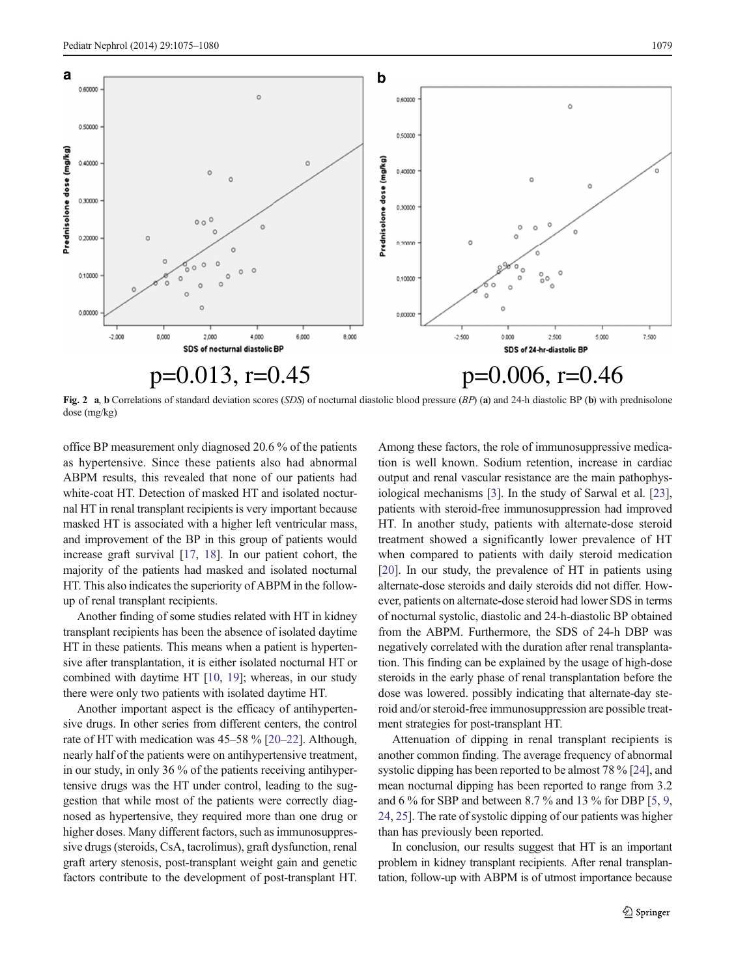<span id="page-4-0"></span>

Fig. 2 a, b Correlations of standard deviation scores (SDS) of nocturnal diastolic blood pressure  $(BP)$  (a) and 24-h diastolic BP (b) with prednisolone dose (mg/kg)

office BP measurement only diagnosed 20.6 % of the patients as hypertensive. Since these patients also had abnormal ABPM results, this revealed that none of our patients had white-coat HT. Detection of masked HT and isolated nocturnal HT in renal transplant recipients is very important because masked HT is associated with a higher left ventricular mass, and improvement of the BP in this group of patients would increase graft survival [[17,](#page-5-0) [18](#page-5-0)]. In our patient cohort, the majority of the patients had masked and isolated nocturnal HT. This also indicates the superiority of ABPM in the followup of renal transplant recipients.

Another finding of some studies related with HT in kidney transplant recipients has been the absence of isolated daytime HT in these patients. This means when a patient is hypertensive after transplantation, it is either isolated nocturnal HT or combined with daytime HT [\[10,](#page-5-0) [19\]](#page-5-0); whereas, in our study there were only two patients with isolated daytime HT.

Another important aspect is the efficacy of antihypertensive drugs. In other series from different centers, the control rate of HT with medication was 45–58 % [\[20](#page-5-0)–[22\]](#page-5-0). Although, nearly half of the patients were on antihypertensive treatment, in our study, in only 36 % of the patients receiving antihypertensive drugs was the HT under control, leading to the suggestion that while most of the patients were correctly diagnosed as hypertensive, they required more than one drug or higher doses. Many different factors, such as immunosuppressive drugs (steroids, CsA, tacrolimus), graft dysfunction, renal graft artery stenosis, post-transplant weight gain and genetic factors contribute to the development of post-transplant HT.

Among these factors, the role of immunosuppressive medication is well known. Sodium retention, increase in cardiac output and renal vascular resistance are the main pathophysiological mechanisms [\[3](#page-5-0)]. In the study of Sarwal et al. [[23\]](#page-5-0), patients with steroid-free immunosuppression had improved HT. In another study, patients with alternate-dose steroid treatment showed a significantly lower prevalence of HT when compared to patients with daily steroid medication [\[20](#page-5-0)]. In our study, the prevalence of HT in patients using alternate-dose steroids and daily steroids did not differ. However, patients on alternate-dose steroid had lower SDS in terms of nocturnal systolic, diastolic and 24-h-diastolic BP obtained from the ABPM. Furthermore, the SDS of 24-h DBP was negatively correlated with the duration after renal transplantation. This finding can be explained by the usage of high-dose steroids in the early phase of renal transplantation before the dose was lowered. possibly indicating that alternate-day steroid and/or steroid-free immunosuppression are possible treatment strategies for post-transplant HT.

Attenuation of dipping in renal transplant recipients is another common finding. The average frequency of abnormal systolic dipping has been reported to be almost 78 % [[24](#page-5-0)], and mean nocturnal dipping has been reported to range from 3.2 and 6  $\%$  for SBP and between 8.7  $\%$  and 13  $\%$  for DBP [\[5](#page-5-0), [9,](#page-5-0) [24,](#page-5-0) [25](#page-5-0)]. The rate of systolic dipping of our patients was higher than has previously been reported.

In conclusion, our results suggest that HT is an important problem in kidney transplant recipients. After renal transplantation, follow-up with ABPM is of utmost importance because